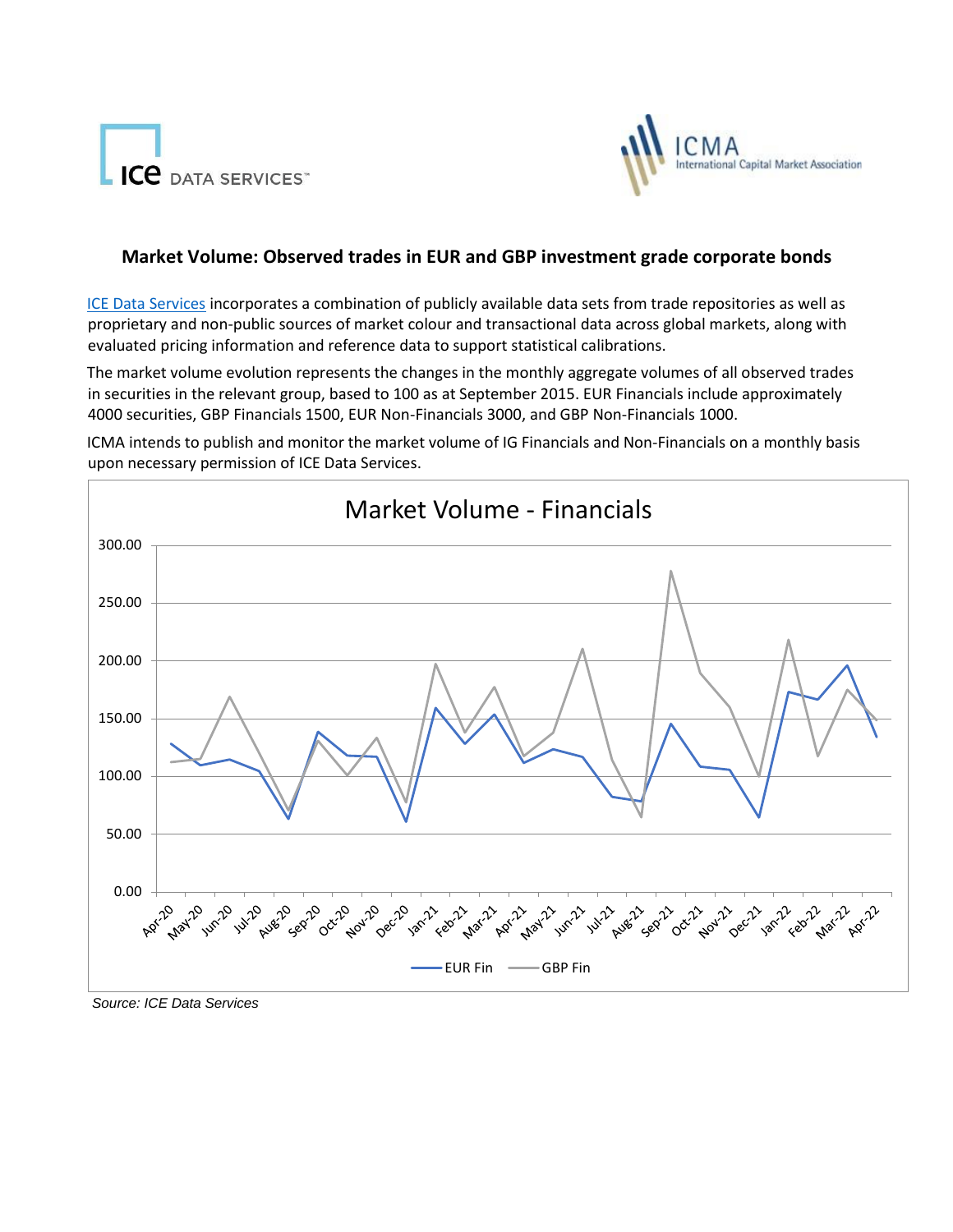



## **Market Volume: Observed trades in EUR and GBP investment grade corporate bonds**

[ICE Data Services](https://www.theice.com/market-data) [i](https://www.theice.com/market-data)ncorporates a combination of publicly available data sets from trade repositories as well as proprietary and non-public sources of market colour and transactional data across global markets, along with evaluated pricing information and reference data to support statistical calibrations.

The market volume evolution represents the changes in the monthly aggregate volumes of all observed trades in securities in the relevant group, based to 100 as at September 2015. EUR Financials include approximately 4000 securities, GBP Financials 1500, EUR Non-Financials 3000, and GBP Non-Financials 1000.

ICMA intends to publish and monitor the market volume of IG Financials and Non-Financials on a monthly basis upon necessary permission of ICE Data Services.



*Source: ICE Data Services*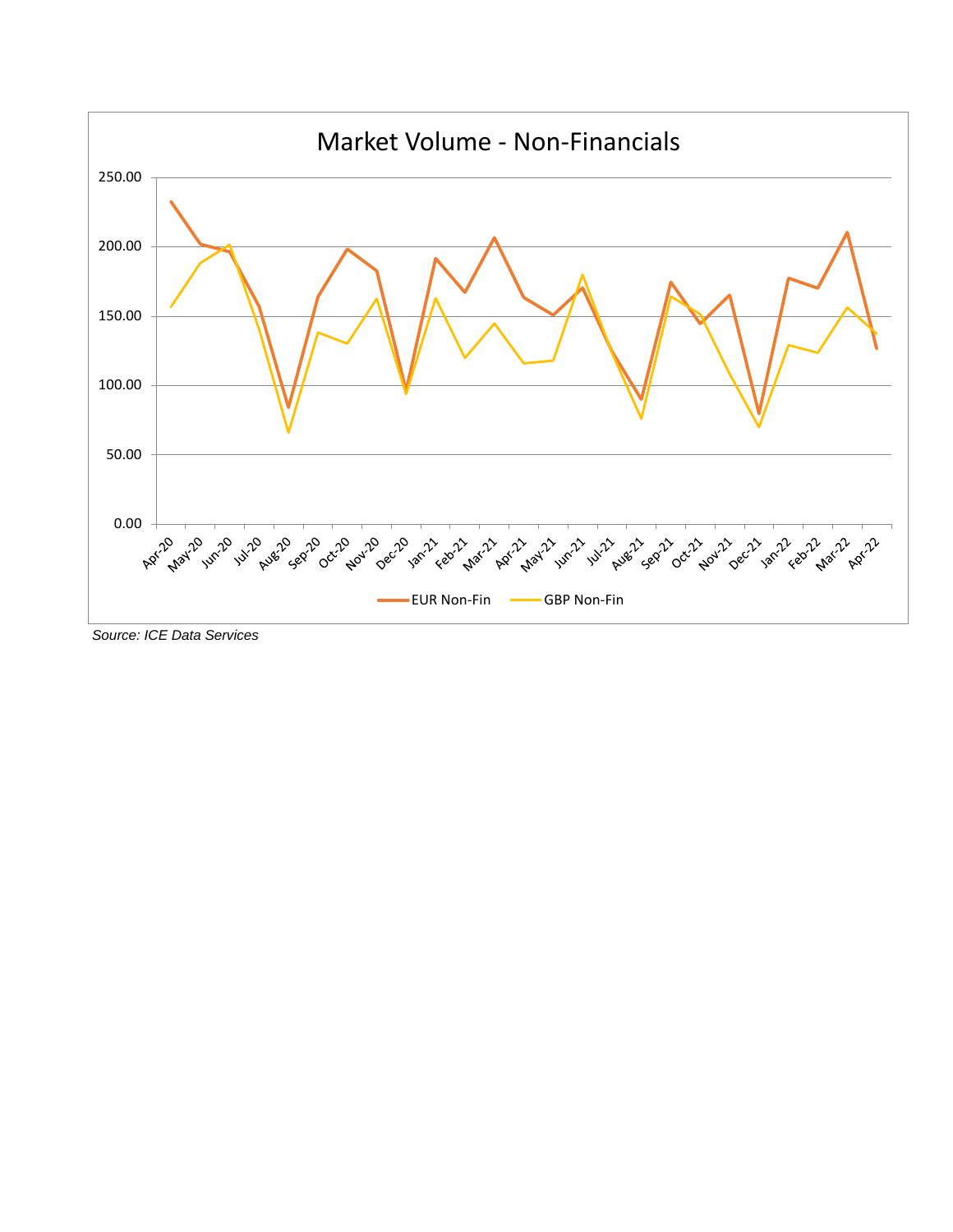

*Source: ICE Data Services*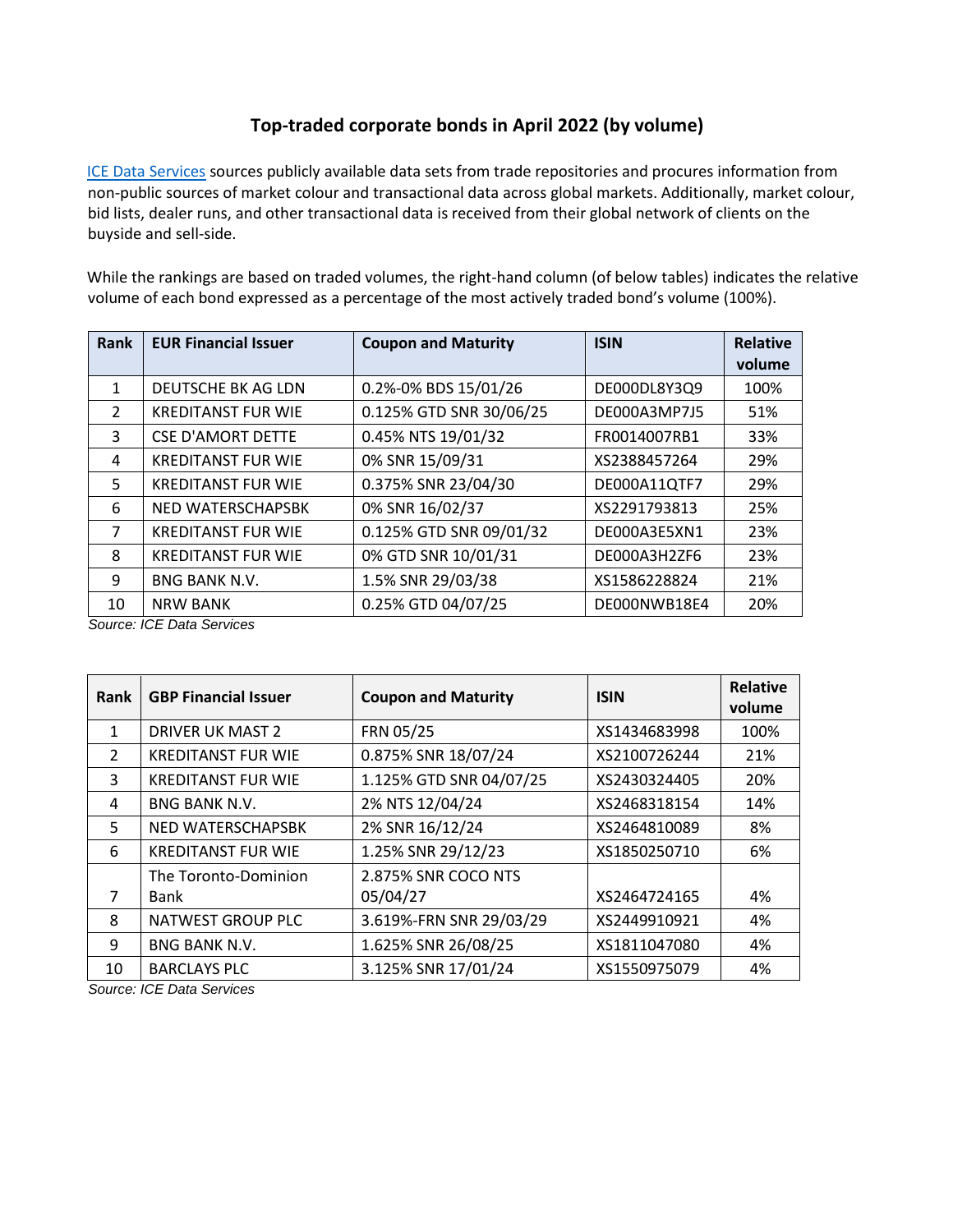## **Top-traded corporate bonds in April 2022 (by volume)**

[ICE Data Services](https://www.theice.com/market-data) [s](https://www.theice.com/market-data)ources publicly available data sets from trade repositories and procures information from non-public sources of market colour and transactional data across global markets. Additionally, market colour, bid lists, dealer runs, and other transactional data is received from their global network of clients on the buyside and sell-side.

While the rankings are based on traded volumes, the right-hand column (of below tables) indicates the relative volume of each bond expressed as a percentage of the most actively traded bond's volume (100%).

| Rank          | <b>EUR Financial Issuer</b> | <b>Coupon and Maturity</b> | <b>ISIN</b>  | <b>Relative</b><br>volume |
|---------------|-----------------------------|----------------------------|--------------|---------------------------|
| 1             | DEUTSCHE BK AG LDN          | 0.2%-0% BDS 15/01/26       | DE000DL8Y3Q9 | 100%                      |
| $\mathcal{P}$ | <b>KREDITANST FUR WIE</b>   | 0.125% GTD SNR 30/06/25    | DE000A3MP7J5 | 51%                       |
| 3             | <b>CSE D'AMORT DETTE</b>    | 0.45% NTS 19/01/32         | FR0014007RB1 | 33%                       |
| 4             | <b>KREDITANST FUR WIE</b>   | 0% SNR 15/09/31            | XS2388457264 | 29%                       |
| 5             | <b>KREDITANST FUR WIE</b>   | 0.375% SNR 23/04/30        | DE000A11QTF7 | 29%                       |
| 6             | NED WATERSCHAPSBK           | 0% SNR 16/02/37            | XS2291793813 | 25%                       |
| 7             | <b>KREDITANST FUR WIE</b>   | 0.125% GTD SNR 09/01/32    | DE000A3E5XN1 | 23%                       |
| 8             | <b>KREDITANST FUR WIE</b>   | 0% GTD SNR 10/01/31        | DE000A3H2ZF6 | 23%                       |
| 9             | <b>BNG BANK N.V.</b>        | 1.5% SNR 29/03/38          | XS1586228824 | 21%                       |
| 10            | <b>NRW BANK</b>             | 0.25% GTD 04/07/25         | DE000NWB18E4 | 20%                       |

*Source: ICE Data Services*

| Rank           | <b>GBP Financial Issuer</b> | <b>Coupon and Maturity</b> | <b>ISIN</b>  | <b>Relative</b><br>volume |
|----------------|-----------------------------|----------------------------|--------------|---------------------------|
| $\mathbf{1}$   | <b>DRIVER UK MAST 2</b>     | FRN 05/25                  | XS1434683998 | 100%                      |
| $\overline{2}$ | <b>KREDITANST FUR WIE</b>   | 0.875% SNR 18/07/24        | XS2100726244 | 21%                       |
| 3              | <b>KREDITANST FUR WIE</b>   | 1.125% GTD SNR 04/07/25    | XS2430324405 | 20%                       |
| 4              | <b>BNG BANK N.V.</b>        | 2% NTS 12/04/24            | XS2468318154 | 14%                       |
| 5              | NED WATERSCHAPSBK           | 2% SNR 16/12/24            | XS2464810089 | 8%                        |
| 6              | <b>KREDITANST FUR WIE</b>   | 1.25% SNR 29/12/23         | XS1850250710 | 6%                        |
|                | The Toronto-Dominion        | 2.875% SNR COCO NTS        |              |                           |
| 7              | Bank                        | 05/04/27                   | XS2464724165 | 4%                        |
| 8              | NATWEST GROUP PLC           | 3.619%-FRN SNR 29/03/29    | XS2449910921 | 4%                        |
| 9              | <b>BNG BANK N.V.</b>        | 1.625% SNR 26/08/25        | XS1811047080 | 4%                        |
| 10             | <b>BARCLAYS PLC</b>         | 3.125% SNR 17/01/24        | XS1550975079 | 4%                        |

*Source: ICE Data Services*